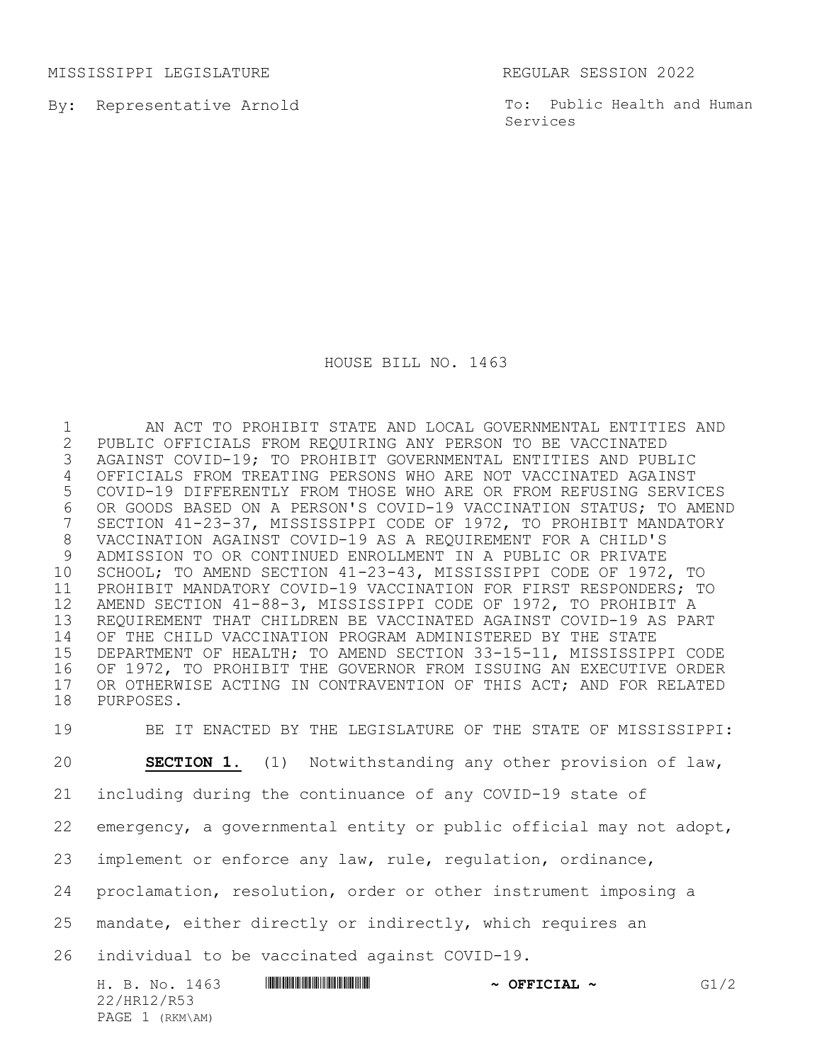MISSISSIPPI LEGISLATURE REGULAR SESSION 2022

By: Representative Arnold

To: Public Health and Human Services

## HOUSE BILL NO. 1463

1 AN ACT TO PROHIBIT STATE AND LOCAL GOVERNMENTAL ENTITIES AND<br>2 PUBLIC OFFICIALS FROM REQUIRING ANY PERSON TO BE VACCINATED 2 PUBLIC OFFICIALS FROM REQUIRING ANY PERSON TO BE VACCINATED<br>3 AGAINST COVID-19; TO PROHIBIT GOVERNMENTAL ENTITIES AND PUB AGAINST COVID-19; TO PROHIBIT GOVERNMENTAL ENTITIES AND PUBLIC OFFICIALS FROM TREATING PERSONS WHO ARE NOT VACCINATED AGAINST COVID-19 DIFFERENTLY FROM THOSE WHO ARE OR FROM REFUSING SERVICES 6 OR GOODS BASED ON A PERSON'S COVID-19 VACCINATION STATUS; TO AMEND<br>7 SECTION 41-23-37, MISSISSIPPI CODE OF 1972, TO PROHIBIT MANDATORY SECTION 41-23-37, MISSISSIPPI CODE OF 1972, TO PROHIBIT MANDATORY VACCINATION AGAINST COVID-19 AS A REQUIREMENT FOR A CHILD'S ADMISSION TO OR CONTINUED ENROLLMENT IN A PUBLIC OR PRIVATE SCHOOL; TO AMEND SECTION 41-23-43, MISSISSIPPI CODE OF 1972, TO PROHIBIT MANDATORY COVID-19 VACCINATION FOR FIRST RESPONDERS; TO AMEND SECTION 41-88-3, MISSISSIPPI CODE OF 1972, TO PROHIBIT A REQUIREMENT THAT CHILDREN BE VACCINATED AGAINST COVID-19 AS PART OF THE CHILD VACCINATION PROGRAM ADMINISTERED BY THE STATE DEPARTMENT OF HEALTH; TO AMEND SECTION 33-15-11, MISSISSIPPI CODE OF 1972, TO PROHIBIT THE GOVERNOR FROM ISSUING AN EXECUTIVE ORDER 17 OR OTHERWISE ACTING IN CONTRAVENTION OF THIS ACT; AND FOR RELATED PURPOSES. PURPOSES.

BE IT ENACTED BY THE LEGISLATURE OF THE STATE OF MISSISSIPPI:

**SECTION 1.** (1) Notwithstanding any other provision of law,

including during the continuance of any COVID-19 state of

emergency, a governmental entity or public official may not adopt,

implement or enforce any law, rule, regulation, ordinance,

proclamation, resolution, order or other instrument imposing a

mandate, either directly or indirectly, which requires an

individual to be vaccinated against COVID-19.

| H. B. No. 1463  | <u> I de la provincia de la provincia de la provincia del t</u> | $\sim$ OFFICIAL $\sim$ | G1/2 |
|-----------------|-----------------------------------------------------------------|------------------------|------|
| 22/HR12/R53     |                                                                 |                        |      |
| PAGE 1 (RKM\AM) |                                                                 |                        |      |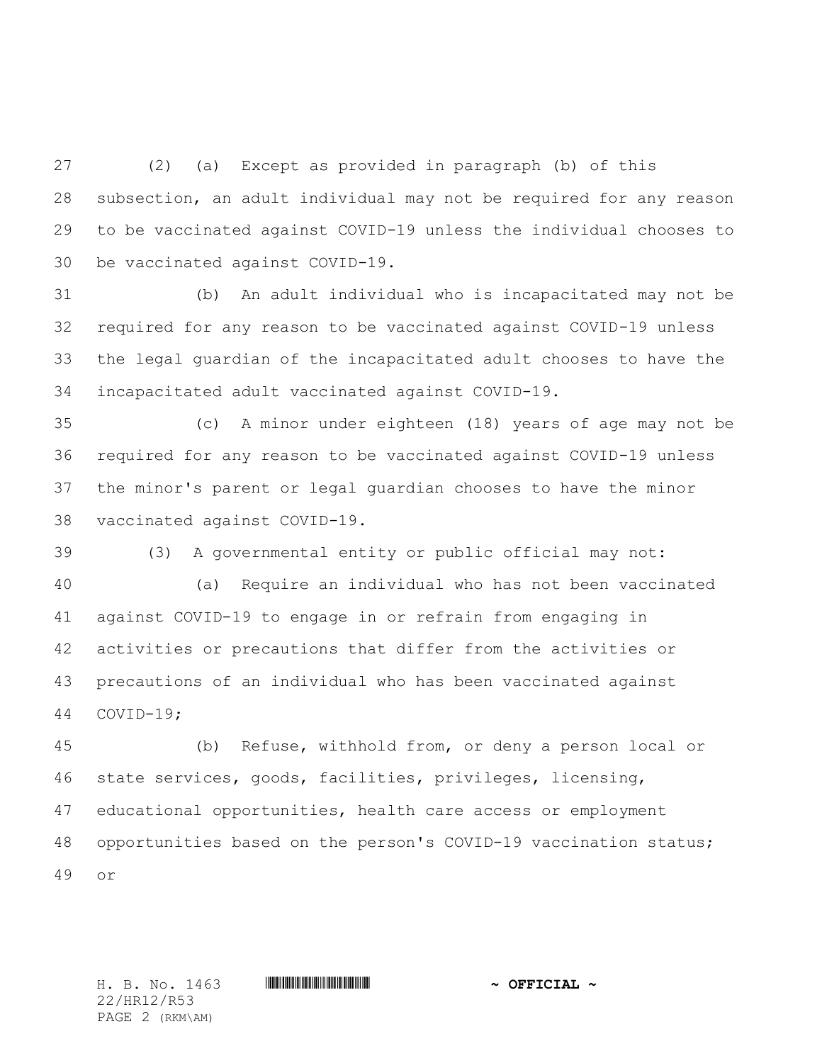(2) (a) Except as provided in paragraph (b) of this subsection, an adult individual may not be required for any reason to be vaccinated against COVID-19 unless the individual chooses to be vaccinated against COVID-19.

 (b) An adult individual who is incapacitated may not be required for any reason to be vaccinated against COVID-19 unless the legal guardian of the incapacitated adult chooses to have the incapacitated adult vaccinated against COVID-19.

 (c) A minor under eighteen (18) years of age may not be required for any reason to be vaccinated against COVID-19 unless the minor's parent or legal guardian chooses to have the minor vaccinated against COVID-19.

(3) A governmental entity or public official may not:

 (a) Require an individual who has not been vaccinated against COVID-19 to engage in or refrain from engaging in activities or precautions that differ from the activities or precautions of an individual who has been vaccinated against COVID-19;

 (b) Refuse, withhold from, or deny a person local or state services, goods, facilities, privileges, licensing, educational opportunities, health care access or employment opportunities based on the person's COVID-19 vaccination status; or

22/HR12/R53 PAGE 2 (RKM\AM)

H. B. No. 1463 \*HR12/R53\* **~ OFFICIAL ~**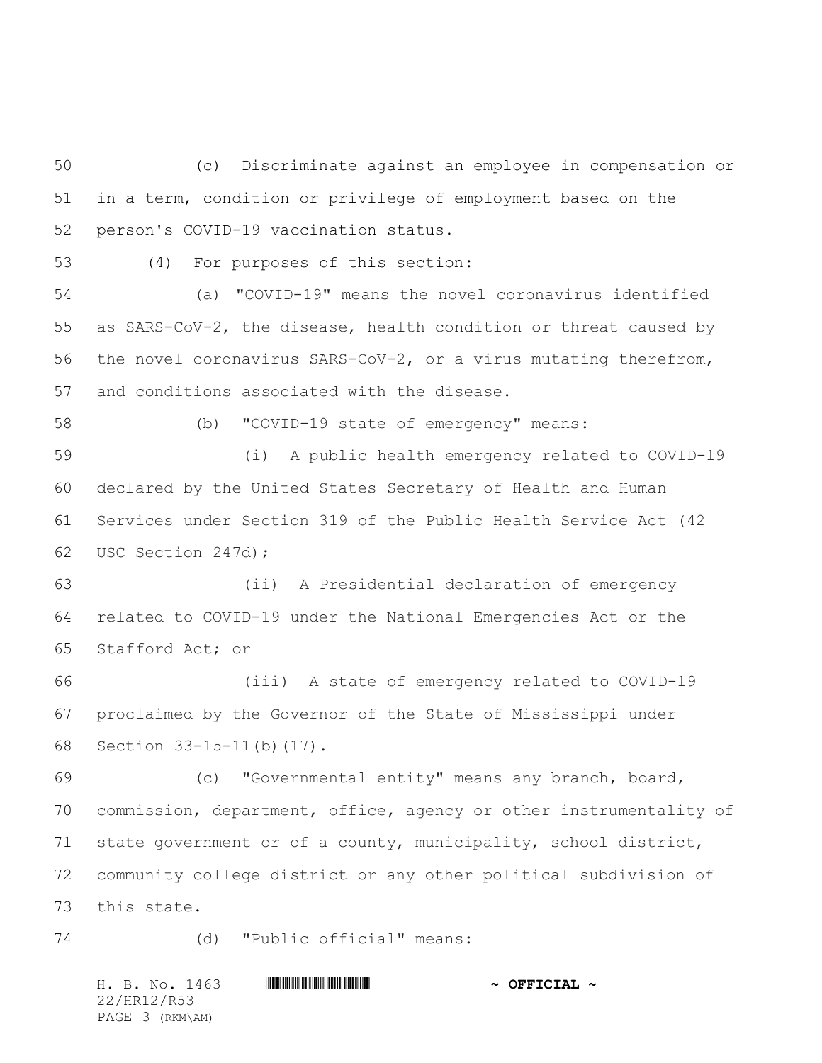(c) Discriminate against an employee in compensation or in a term, condition or privilege of employment based on the person's COVID-19 vaccination status.

(4) For purposes of this section:

 (a) "COVID-19" means the novel coronavirus identified as SARS-CoV-2, the disease, health condition or threat caused by the novel coronavirus SARS-CoV-2, or a virus mutating therefrom, and conditions associated with the disease.

(b) "COVID-19 state of emergency" means:

 (i) A public health emergency related to COVID-19 declared by the United States Secretary of Health and Human Services under Section 319 of the Public Health Service Act (42 USC Section 247d);

 (ii) A Presidential declaration of emergency related to COVID-19 under the National Emergencies Act or the Stafford Act; or

 (iii) A state of emergency related to COVID-19 proclaimed by the Governor of the State of Mississippi under Section 33-15-11(b)(17).

 (c) "Governmental entity" means any branch, board, commission, department, office, agency or other instrumentality of state government or of a county, municipality, school district, community college district or any other political subdivision of this state.

(d) "Public official" means:

H. B. No. 1463 \*HR12/R53\* **~ OFFICIAL ~** 22/HR12/R53 PAGE 3 (RKM\AM)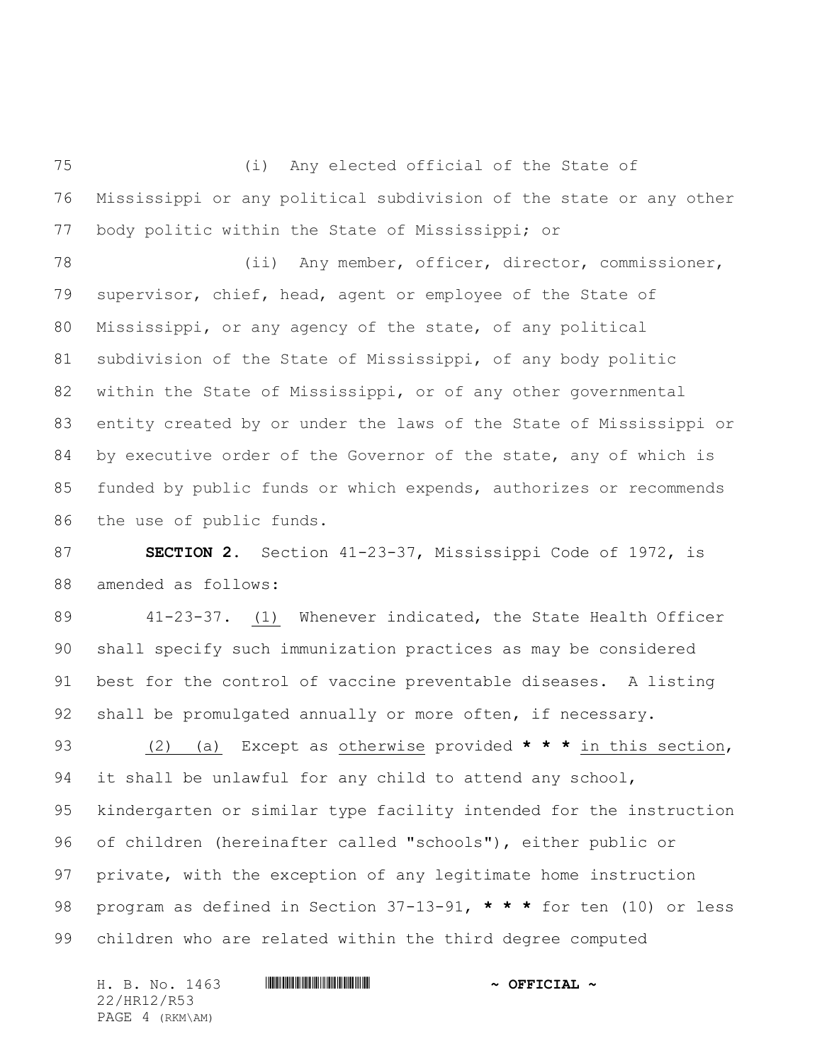(i) Any elected official of the State of Mississippi or any political subdivision of the state or any other body politic within the State of Mississippi; or

 (ii) Any member, officer, director, commissioner, supervisor, chief, head, agent or employee of the State of Mississippi, or any agency of the state, of any political subdivision of the State of Mississippi, of any body politic within the State of Mississippi, or of any other governmental entity created by or under the laws of the State of Mississippi or by executive order of the Governor of the state, any of which is funded by public funds or which expends, authorizes or recommends the use of public funds.

 **SECTION 2.** Section 41-23-37, Mississippi Code of 1972, is amended as follows:

 41-23-37. (1) Whenever indicated, the State Health Officer shall specify such immunization practices as may be considered best for the control of vaccine preventable diseases. A listing 92 shall be promulgated annually or more often, if necessary.

 (2) (a) Except as otherwise provided **\* \* \*** in this section, it shall be unlawful for any child to attend any school, kindergarten or similar type facility intended for the instruction of children (hereinafter called "schools"), either public or private, with the exception of any legitimate home instruction program as defined in Section 37-13-91, **\* \* \*** for ten (10) or less children who are related within the third degree computed

H. B. No. 1463 \*HR12/R53\* **~ OFFICIAL ~** 22/HR12/R53 PAGE 4 (RKM\AM)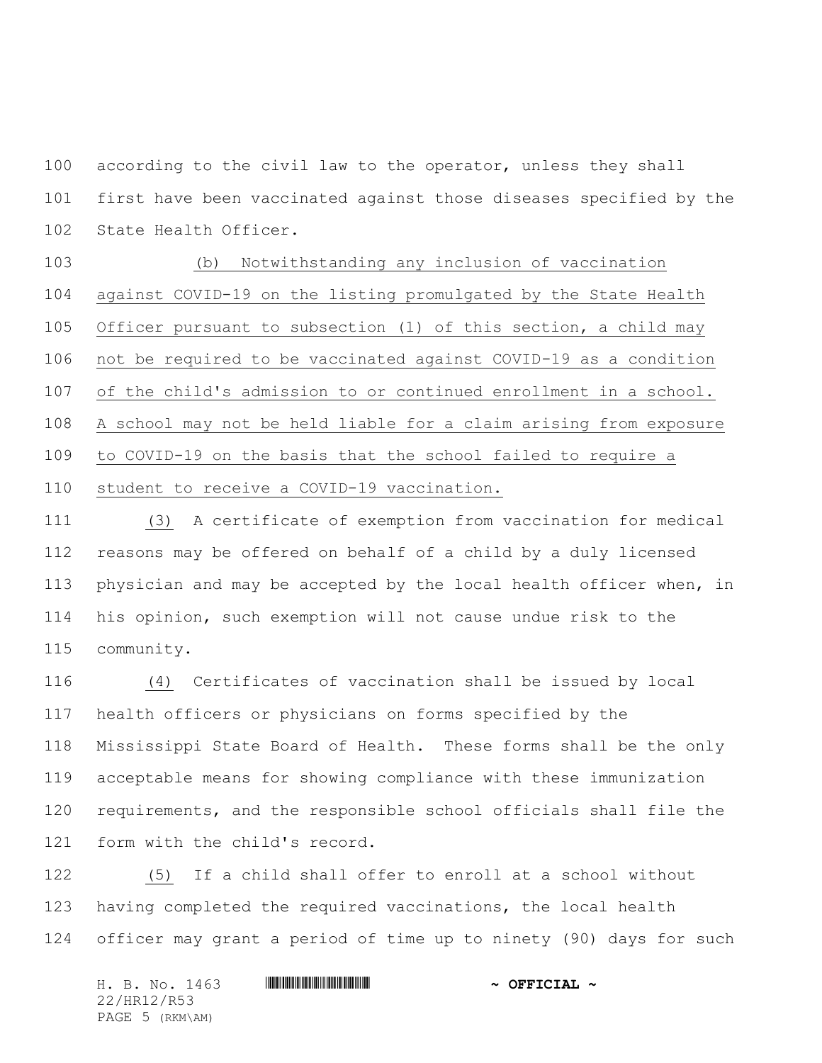according to the civil law to the operator, unless they shall first have been vaccinated against those diseases specified by the State Health Officer.

 (b) Notwithstanding any inclusion of vaccination against COVID-19 on the listing promulgated by the State Health Officer pursuant to subsection (1) of this section, a child may not be required to be vaccinated against COVID-19 as a condition of the child's admission to or continued enrollment in a school. A school may not be held liable for a claim arising from exposure to COVID-19 on the basis that the school failed to require a student to receive a COVID-19 vaccination.

 (3) A certificate of exemption from vaccination for medical reasons may be offered on behalf of a child by a duly licensed physician and may be accepted by the local health officer when, in his opinion, such exemption will not cause undue risk to the community.

 (4) Certificates of vaccination shall be issued by local health officers or physicians on forms specified by the Mississippi State Board of Health. These forms shall be the only acceptable means for showing compliance with these immunization requirements, and the responsible school officials shall file the form with the child's record.

 (5) If a child shall offer to enroll at a school without having completed the required vaccinations, the local health officer may grant a period of time up to ninety (90) days for such

H. B. No. 1463 \*HR12/R53\* **~ OFFICIAL ~** 22/HR12/R53 PAGE 5 (RKM\AM)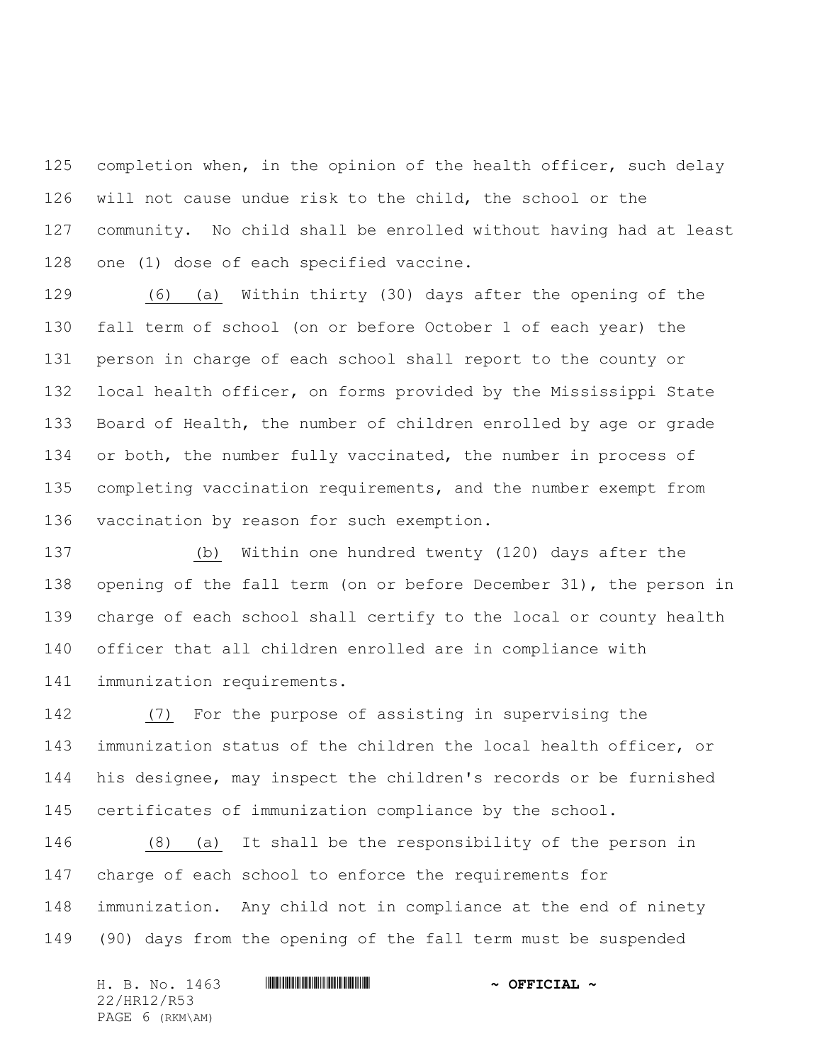completion when, in the opinion of the health officer, such delay will not cause undue risk to the child, the school or the community. No child shall be enrolled without having had at least one (1) dose of each specified vaccine.

 (6) (a) Within thirty (30) days after the opening of the fall term of school (on or before October 1 of each year) the person in charge of each school shall report to the county or local health officer, on forms provided by the Mississippi State Board of Health, the number of children enrolled by age or grade 134 or both, the number fully vaccinated, the number in process of completing vaccination requirements, and the number exempt from vaccination by reason for such exemption.

 (b) Within one hundred twenty (120) days after the opening of the fall term (on or before December 31), the person in charge of each school shall certify to the local or county health officer that all children enrolled are in compliance with immunization requirements.

 (7) For the purpose of assisting in supervising the immunization status of the children the local health officer, or his designee, may inspect the children's records or be furnished certificates of immunization compliance by the school.

 (8) (a) It shall be the responsibility of the person in charge of each school to enforce the requirements for immunization. Any child not in compliance at the end of ninety (90) days from the opening of the fall term must be suspended

H. B. No. 1463 \*HR12/R53\* **~ OFFICIAL ~** 22/HR12/R53 PAGE 6 (RKM\AM)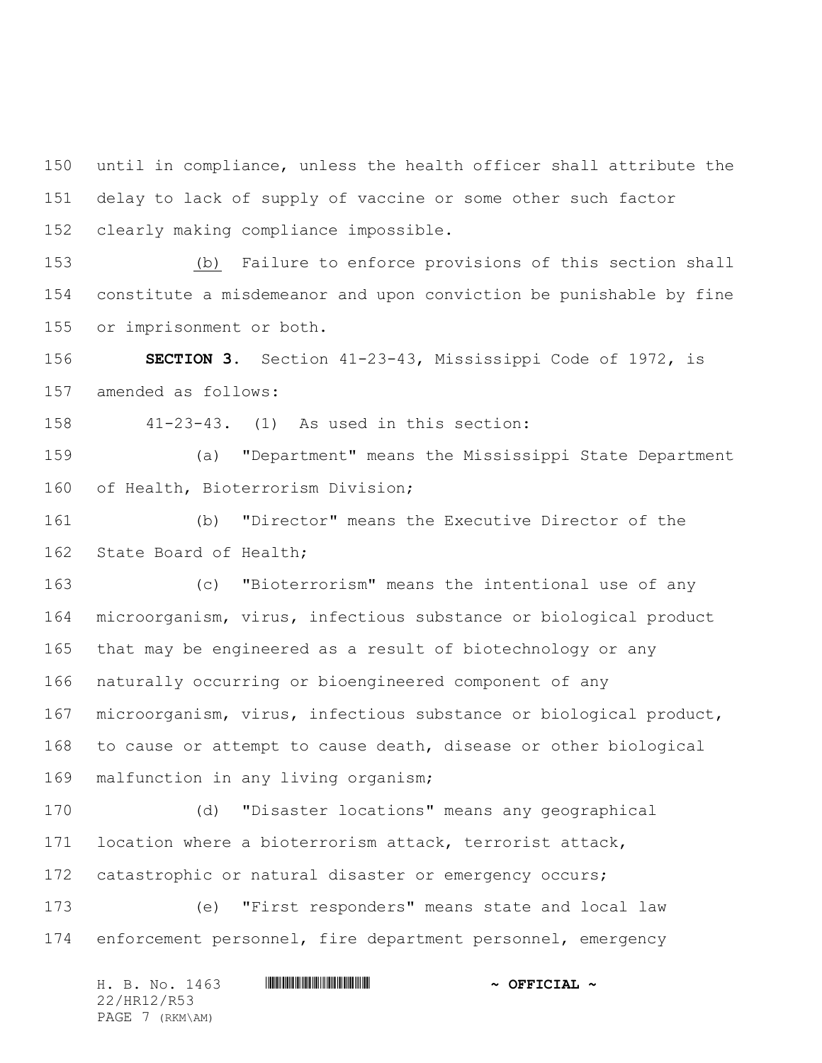until in compliance, unless the health officer shall attribute the delay to lack of supply of vaccine or some other such factor clearly making compliance impossible.

 (b) Failure to enforce provisions of this section shall constitute a misdemeanor and upon conviction be punishable by fine or imprisonment or both.

 **SECTION 3.** Section 41-23-43, Mississippi Code of 1972, is amended as follows:

41-23-43. (1) As used in this section:

 (a) "Department" means the Mississippi State Department of Health, Bioterrorism Division;

 (b) "Director" means the Executive Director of the State Board of Health;

 (c) "Bioterrorism" means the intentional use of any microorganism, virus, infectious substance or biological product that may be engineered as a result of biotechnology or any naturally occurring or bioengineered component of any microorganism, virus, infectious substance or biological product, to cause or attempt to cause death, disease or other biological malfunction in any living organism;

 (d) "Disaster locations" means any geographical location where a bioterrorism attack, terrorist attack, catastrophic or natural disaster or emergency occurs; (e) "First responders" means state and local law

enforcement personnel, fire department personnel, emergency

H. B. No. 1463 \*HR12/R53\* **~ OFFICIAL ~** 22/HR12/R53 PAGE 7 (RKM\AM)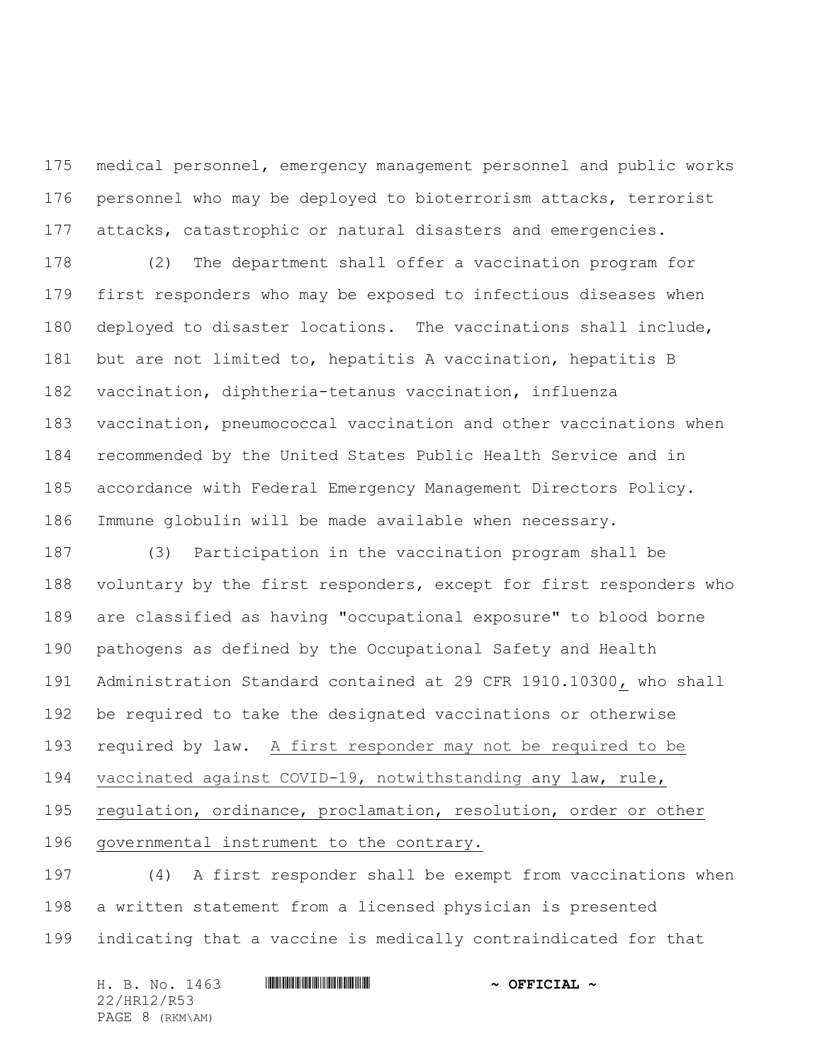medical personnel, emergency management personnel and public works personnel who may be deployed to bioterrorism attacks, terrorist attacks, catastrophic or natural disasters and emergencies.

 (2) The department shall offer a vaccination program for first responders who may be exposed to infectious diseases when deployed to disaster locations. The vaccinations shall include, but are not limited to, hepatitis A vaccination, hepatitis B vaccination, diphtheria-tetanus vaccination, influenza vaccination, pneumococcal vaccination and other vaccinations when recommended by the United States Public Health Service and in accordance with Federal Emergency Management Directors Policy. Immune globulin will be made available when necessary.

 (3) Participation in the vaccination program shall be 188 voluntary by the first responders, except for first responders who are classified as having "occupational exposure" to blood borne pathogens as defined by the Occupational Safety and Health Administration Standard contained at 29 CFR 1910.10300, who shall be required to take the designated vaccinations or otherwise required by law. A first responder may not be required to be vaccinated against COVID-19, notwithstanding any law, rule, regulation, ordinance, proclamation, resolution, order or other governmental instrument to the contrary.

 (4) A first responder shall be exempt from vaccinations when a written statement from a licensed physician is presented indicating that a vaccine is medically contraindicated for that

H. B. No. 1463 \*HR12/R53\* **~ OFFICIAL ~** 22/HR12/R53 PAGE 8 (RKM\AM)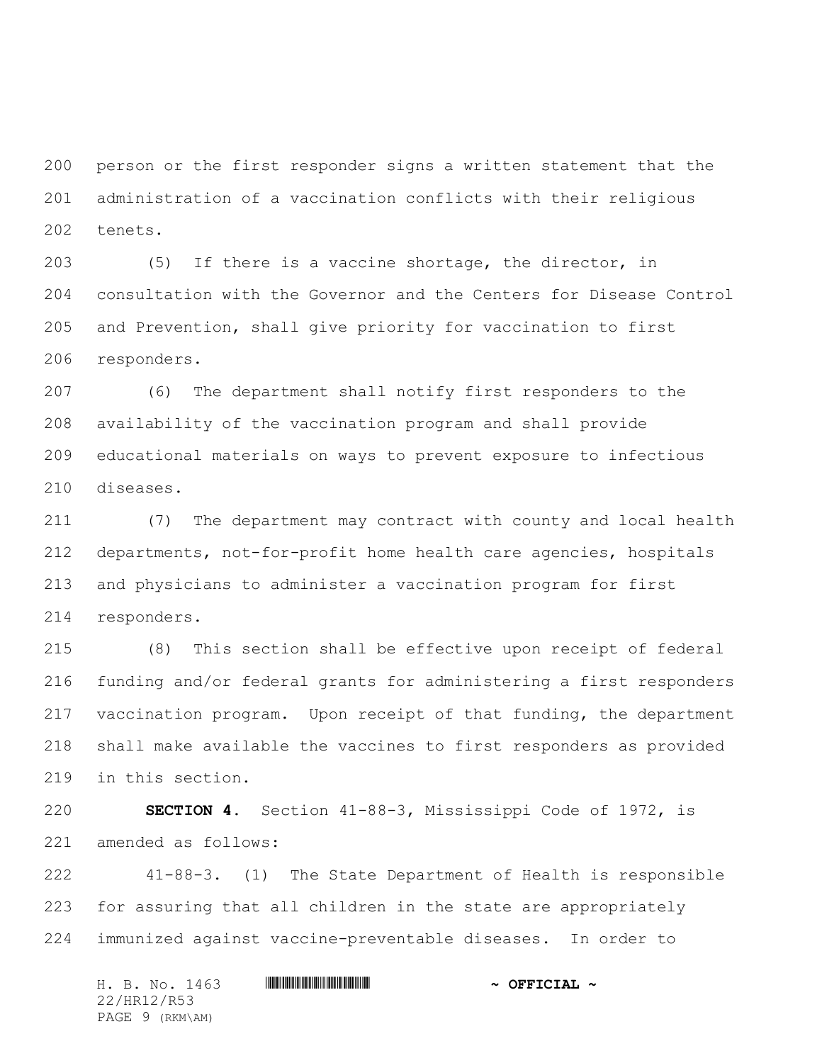person or the first responder signs a written statement that the administration of a vaccination conflicts with their religious tenets.

 (5) If there is a vaccine shortage, the director, in consultation with the Governor and the Centers for Disease Control and Prevention, shall give priority for vaccination to first responders.

 (6) The department shall notify first responders to the availability of the vaccination program and shall provide educational materials on ways to prevent exposure to infectious diseases.

 (7) The department may contract with county and local health departments, not-for-profit home health care agencies, hospitals and physicians to administer a vaccination program for first responders.

 (8) This section shall be effective upon receipt of federal funding and/or federal grants for administering a first responders vaccination program. Upon receipt of that funding, the department shall make available the vaccines to first responders as provided in this section.

 **SECTION 4.** Section 41-88-3, Mississippi Code of 1972, is amended as follows:

 41-88-3. (1) The State Department of Health is responsible for assuring that all children in the state are appropriately immunized against vaccine-preventable diseases. In order to

H. B. No. 1463 \*HR12/R53\* **~ OFFICIAL ~** 22/HR12/R53 PAGE 9 (RKM\AM)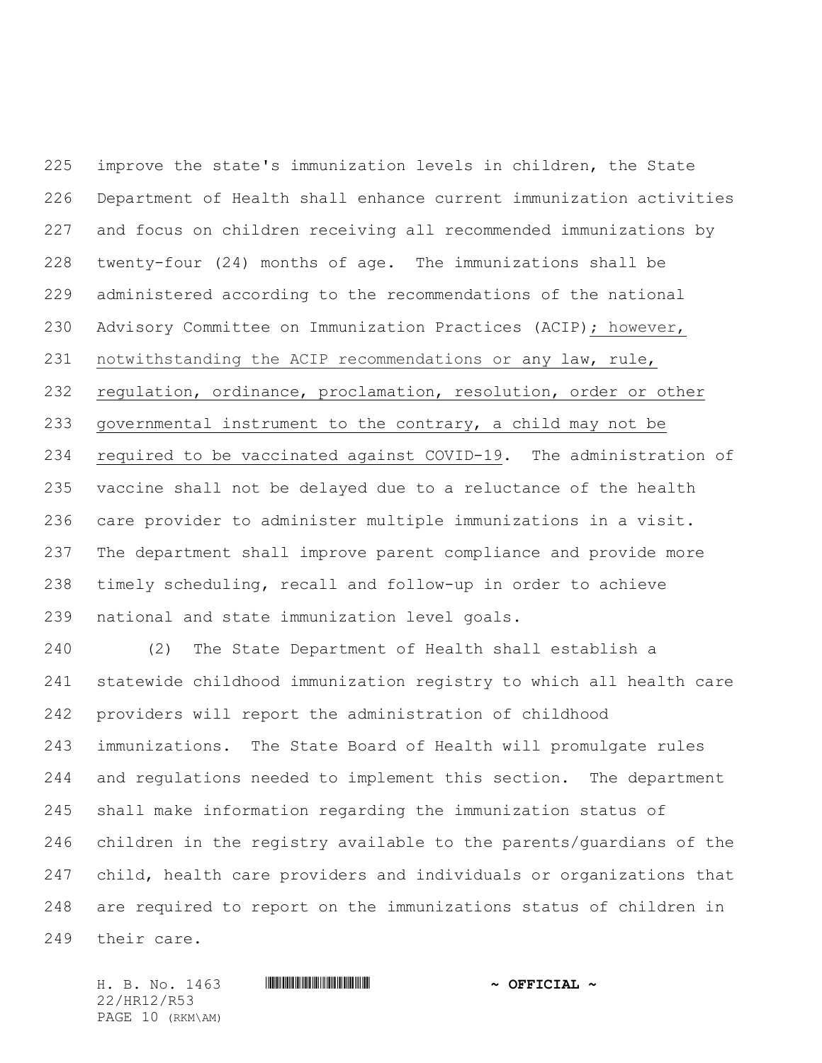improve the state's immunization levels in children, the State Department of Health shall enhance current immunization activities and focus on children receiving all recommended immunizations by twenty-four (24) months of age. The immunizations shall be administered according to the recommendations of the national Advisory Committee on Immunization Practices (ACIP); however, notwithstanding the ACIP recommendations or any law, rule, regulation, ordinance, proclamation, resolution, order or other governmental instrument to the contrary, a child may not be required to be vaccinated against COVID-19. The administration of vaccine shall not be delayed due to a reluctance of the health care provider to administer multiple immunizations in a visit. The department shall improve parent compliance and provide more timely scheduling, recall and follow-up in order to achieve national and state immunization level goals.

 (2) The State Department of Health shall establish a statewide childhood immunization registry to which all health care providers will report the administration of childhood immunizations. The State Board of Health will promulgate rules and regulations needed to implement this section. The department shall make information regarding the immunization status of children in the registry available to the parents/guardians of the child, health care providers and individuals or organizations that are required to report on the immunizations status of children in their care.

22/HR12/R53 PAGE 10 (RKM\AM)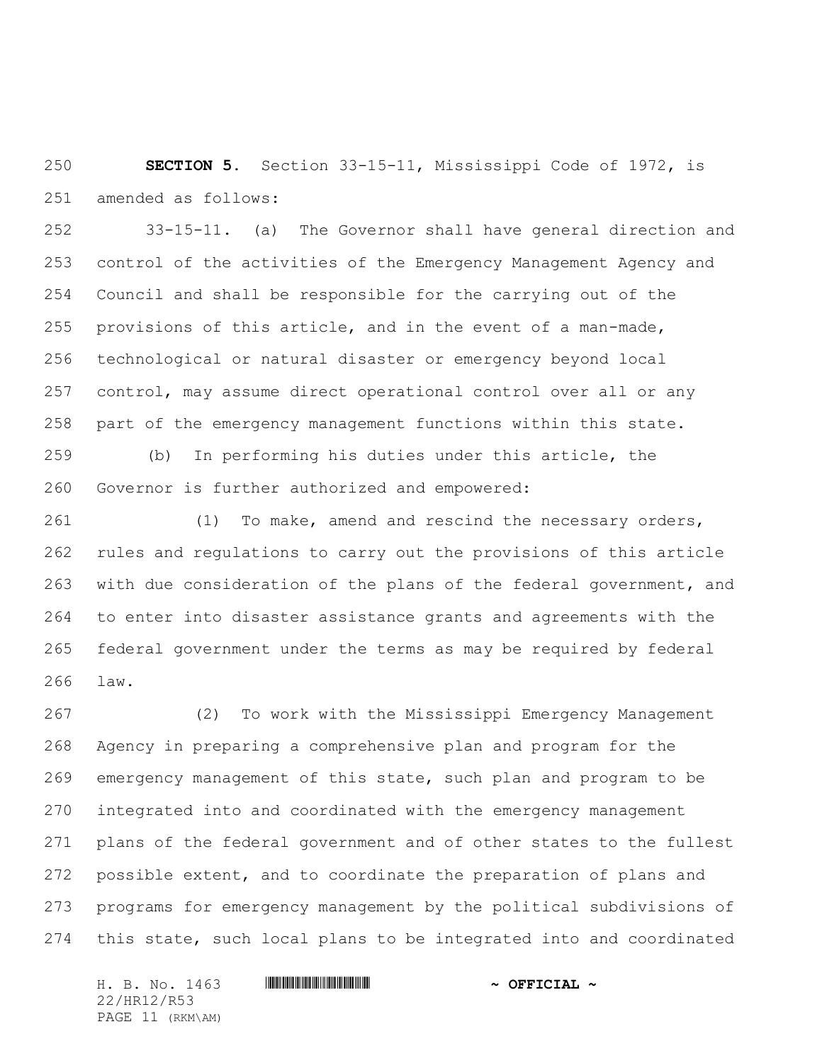**SECTION 5.** Section 33-15-11, Mississippi Code of 1972, is amended as follows:

 33-15-11. (a) The Governor shall have general direction and control of the activities of the Emergency Management Agency and Council and shall be responsible for the carrying out of the provisions of this article, and in the event of a man-made, technological or natural disaster or emergency beyond local control, may assume direct operational control over all or any part of the emergency management functions within this state. (b) In performing his duties under this article, the

Governor is further authorized and empowered:

 (1) To make, amend and rescind the necessary orders, rules and regulations to carry out the provisions of this article with due consideration of the plans of the federal government, and to enter into disaster assistance grants and agreements with the federal government under the terms as may be required by federal law.

 (2) To work with the Mississippi Emergency Management Agency in preparing a comprehensive plan and program for the emergency management of this state, such plan and program to be integrated into and coordinated with the emergency management plans of the federal government and of other states to the fullest possible extent, and to coordinate the preparation of plans and programs for emergency management by the political subdivisions of this state, such local plans to be integrated into and coordinated

H. B. No. 1463 \*HR12/R53\* **~ OFFICIAL ~** 22/HR12/R53 PAGE 11 (RKM\AM)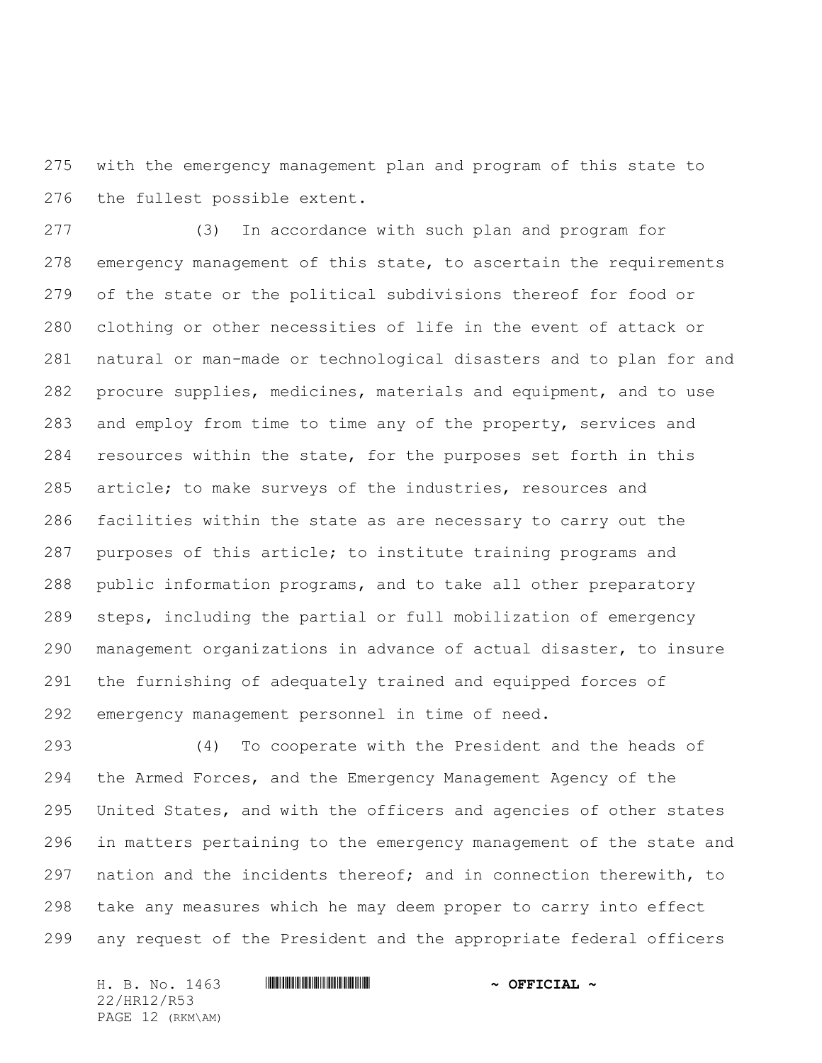with the emergency management plan and program of this state to the fullest possible extent.

 (3) In accordance with such plan and program for emergency management of this state, to ascertain the requirements of the state or the political subdivisions thereof for food or clothing or other necessities of life in the event of attack or natural or man-made or technological disasters and to plan for and procure supplies, medicines, materials and equipment, and to use and employ from time to time any of the property, services and resources within the state, for the purposes set forth in this article; to make surveys of the industries, resources and facilities within the state as are necessary to carry out the purposes of this article; to institute training programs and public information programs, and to take all other preparatory steps, including the partial or full mobilization of emergency management organizations in advance of actual disaster, to insure the furnishing of adequately trained and equipped forces of emergency management personnel in time of need.

 (4) To cooperate with the President and the heads of the Armed Forces, and the Emergency Management Agency of the United States, and with the officers and agencies of other states in matters pertaining to the emergency management of the state and nation and the incidents thereof; and in connection therewith, to take any measures which he may deem proper to carry into effect any request of the President and the appropriate federal officers

H. B. No. 1463 \*HR12/R53\* **~ OFFICIAL ~** 22/HR12/R53 PAGE 12 (RKM\AM)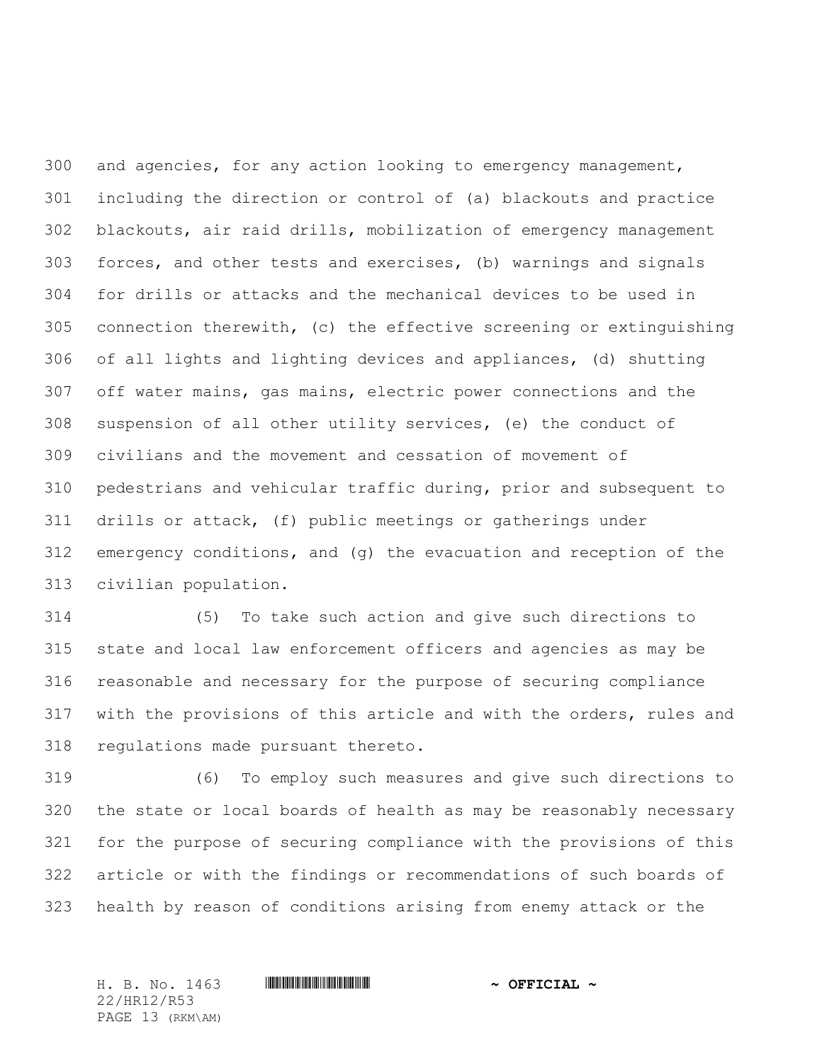and agencies, for any action looking to emergency management, including the direction or control of (a) blackouts and practice blackouts, air raid drills, mobilization of emergency management forces, and other tests and exercises, (b) warnings and signals for drills or attacks and the mechanical devices to be used in connection therewith, (c) the effective screening or extinguishing of all lights and lighting devices and appliances, (d) shutting off water mains, gas mains, electric power connections and the suspension of all other utility services, (e) the conduct of civilians and the movement and cessation of movement of pedestrians and vehicular traffic during, prior and subsequent to drills or attack, (f) public meetings or gatherings under emergency conditions, and (g) the evacuation and reception of the civilian population.

 (5) To take such action and give such directions to state and local law enforcement officers and agencies as may be reasonable and necessary for the purpose of securing compliance with the provisions of this article and with the orders, rules and regulations made pursuant thereto.

 (6) To employ such measures and give such directions to the state or local boards of health as may be reasonably necessary for the purpose of securing compliance with the provisions of this article or with the findings or recommendations of such boards of health by reason of conditions arising from enemy attack or the

H. B. No. 1463 \*HR12/R53\* **~ OFFICIAL ~** 22/HR12/R53 PAGE 13 (RKM\AM)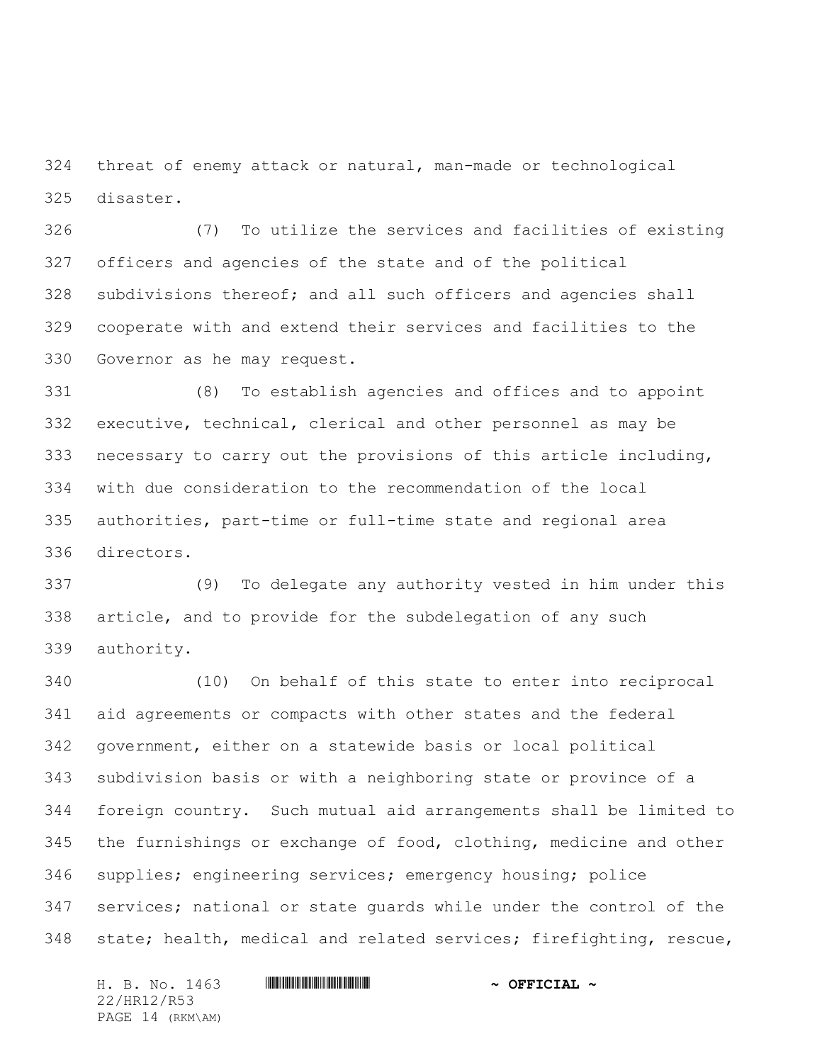threat of enemy attack or natural, man-made or technological disaster.

 (7) To utilize the services and facilities of existing officers and agencies of the state and of the political subdivisions thereof; and all such officers and agencies shall cooperate with and extend their services and facilities to the Governor as he may request.

 (8) To establish agencies and offices and to appoint executive, technical, clerical and other personnel as may be necessary to carry out the provisions of this article including, with due consideration to the recommendation of the local authorities, part-time or full-time state and regional area directors.

 (9) To delegate any authority vested in him under this article, and to provide for the subdelegation of any such authority.

 (10) On behalf of this state to enter into reciprocal aid agreements or compacts with other states and the federal government, either on a statewide basis or local political subdivision basis or with a neighboring state or province of a foreign country. Such mutual aid arrangements shall be limited to the furnishings or exchange of food, clothing, medicine and other supplies; engineering services; emergency housing; police services; national or state guards while under the control of the state; health, medical and related services; firefighting, rescue,

H. B. No. 1463 \*HR12/R53\* **~ OFFICIAL ~** 22/HR12/R53 PAGE 14 (RKM\AM)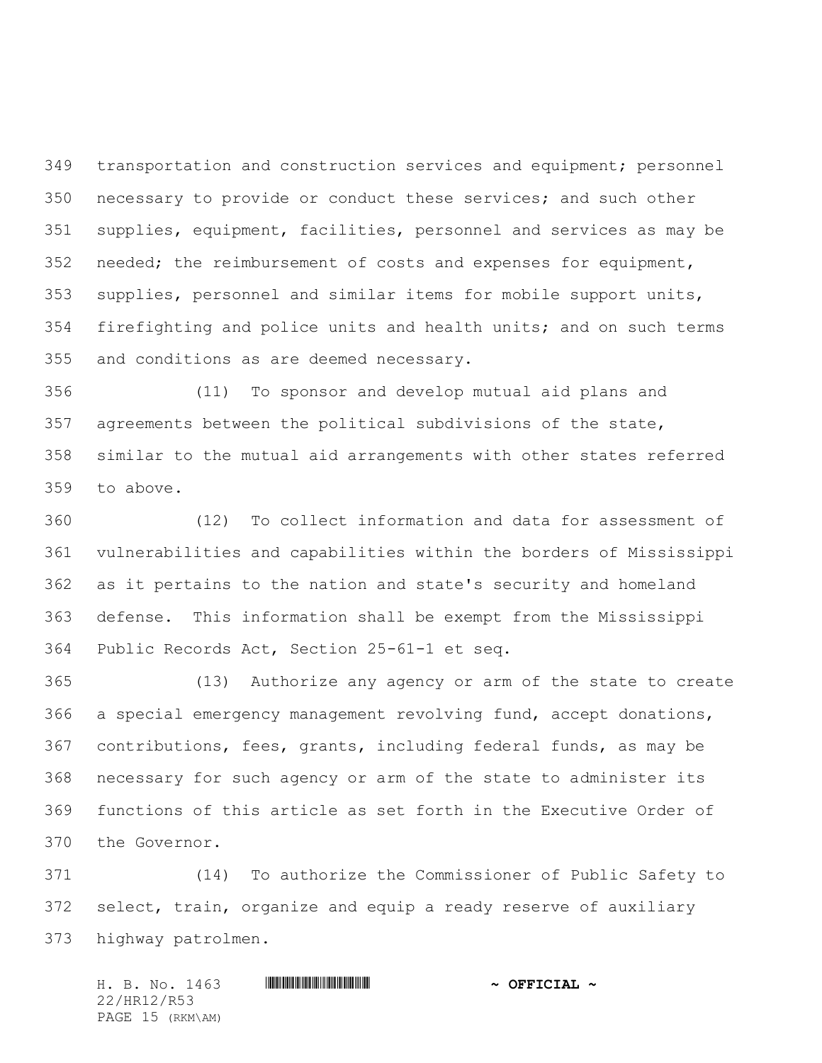transportation and construction services and equipment; personnel necessary to provide or conduct these services; and such other supplies, equipment, facilities, personnel and services as may be needed; the reimbursement of costs and expenses for equipment, supplies, personnel and similar items for mobile support units, firefighting and police units and health units; and on such terms and conditions as are deemed necessary.

 (11) To sponsor and develop mutual aid plans and agreements between the political subdivisions of the state, similar to the mutual aid arrangements with other states referred to above.

 (12) To collect information and data for assessment of vulnerabilities and capabilities within the borders of Mississippi as it pertains to the nation and state's security and homeland defense. This information shall be exempt from the Mississippi Public Records Act, Section 25-61-1 et seq.

 (13) Authorize any agency or arm of the state to create a special emergency management revolving fund, accept donations, contributions, fees, grants, including federal funds, as may be necessary for such agency or arm of the state to administer its functions of this article as set forth in the Executive Order of the Governor.

 (14) To authorize the Commissioner of Public Safety to select, train, organize and equip a ready reserve of auxiliary highway patrolmen.

H. B. No. 1463 \*HR12/R53\* **~ OFFICIAL ~** 22/HR12/R53 PAGE 15 (RKM\AM)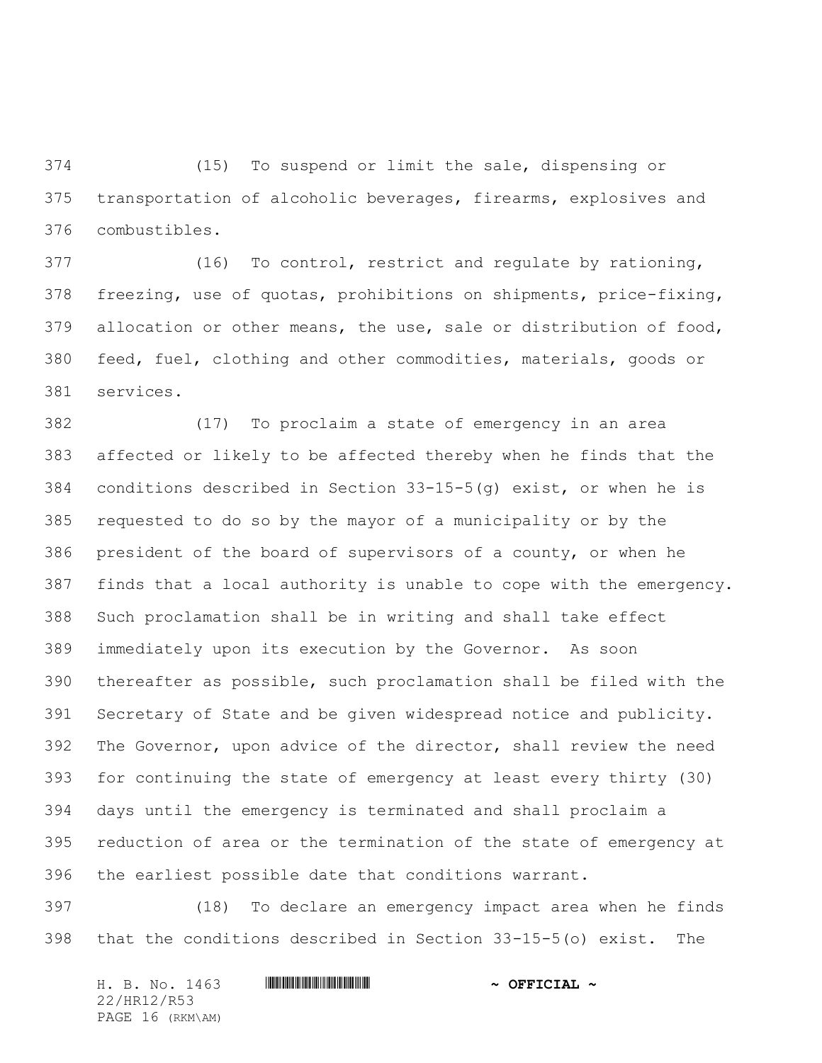(15) To suspend or limit the sale, dispensing or transportation of alcoholic beverages, firearms, explosives and combustibles.

 (16) To control, restrict and regulate by rationing, freezing, use of quotas, prohibitions on shipments, price-fixing, allocation or other means, the use, sale or distribution of food, feed, fuel, clothing and other commodities, materials, goods or services.

 (17) To proclaim a state of emergency in an area affected or likely to be affected thereby when he finds that the conditions described in Section 33-15-5(g) exist, or when he is requested to do so by the mayor of a municipality or by the president of the board of supervisors of a county, or when he finds that a local authority is unable to cope with the emergency. Such proclamation shall be in writing and shall take effect immediately upon its execution by the Governor. As soon thereafter as possible, such proclamation shall be filed with the Secretary of State and be given widespread notice and publicity. The Governor, upon advice of the director, shall review the need for continuing the state of emergency at least every thirty (30) days until the emergency is terminated and shall proclaim a reduction of area or the termination of the state of emergency at the earliest possible date that conditions warrant.

 (18) To declare an emergency impact area when he finds that the conditions described in Section 33-15-5(o) exist. The

H. B. No. 1463 \*HR12/R53\* **~ OFFICIAL ~** 22/HR12/R53 PAGE 16 (RKM\AM)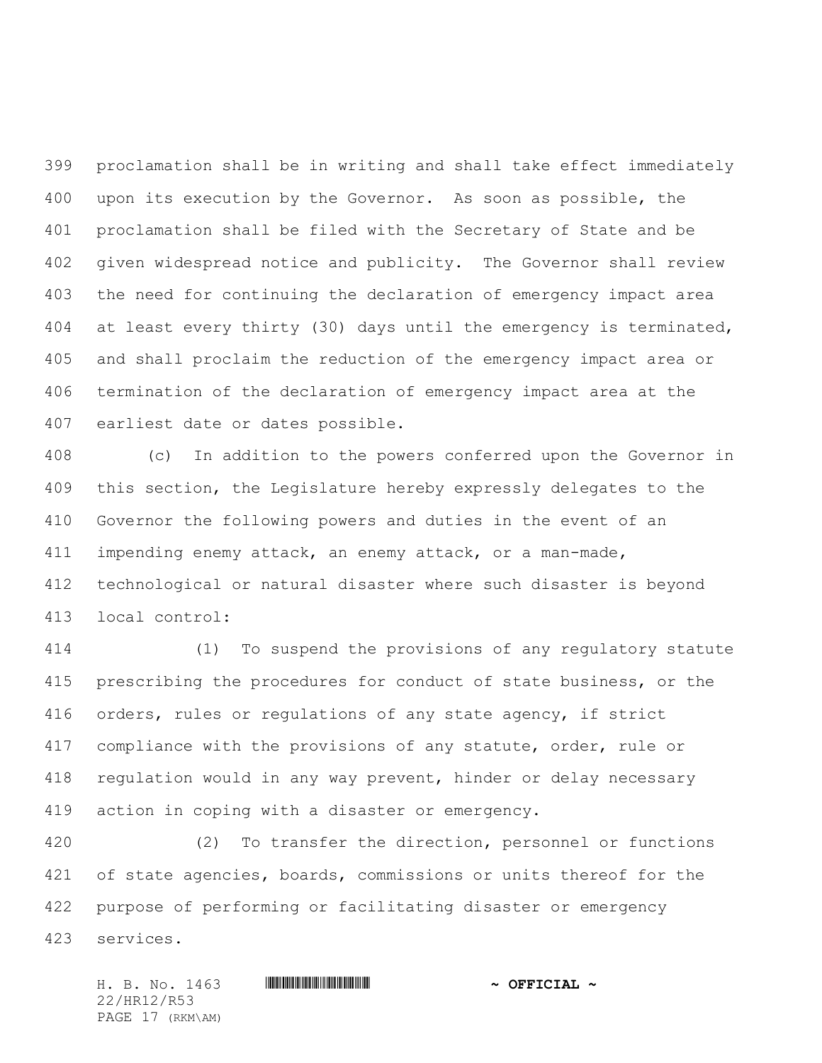proclamation shall be in writing and shall take effect immediately upon its execution by the Governor. As soon as possible, the proclamation shall be filed with the Secretary of State and be given widespread notice and publicity. The Governor shall review the need for continuing the declaration of emergency impact area at least every thirty (30) days until the emergency is terminated, and shall proclaim the reduction of the emergency impact area or termination of the declaration of emergency impact area at the earliest date or dates possible.

 (c) In addition to the powers conferred upon the Governor in this section, the Legislature hereby expressly delegates to the Governor the following powers and duties in the event of an impending enemy attack, an enemy attack, or a man-made, technological or natural disaster where such disaster is beyond local control:

 (1) To suspend the provisions of any regulatory statute prescribing the procedures for conduct of state business, or the orders, rules or regulations of any state agency, if strict compliance with the provisions of any statute, order, rule or regulation would in any way prevent, hinder or delay necessary action in coping with a disaster or emergency.

 (2) To transfer the direction, personnel or functions of state agencies, boards, commissions or units thereof for the purpose of performing or facilitating disaster or emergency services.

H. B. No. 1463 \*HR12/R53\* **~ OFFICIAL ~** 22/HR12/R53 PAGE 17 (RKM\AM)